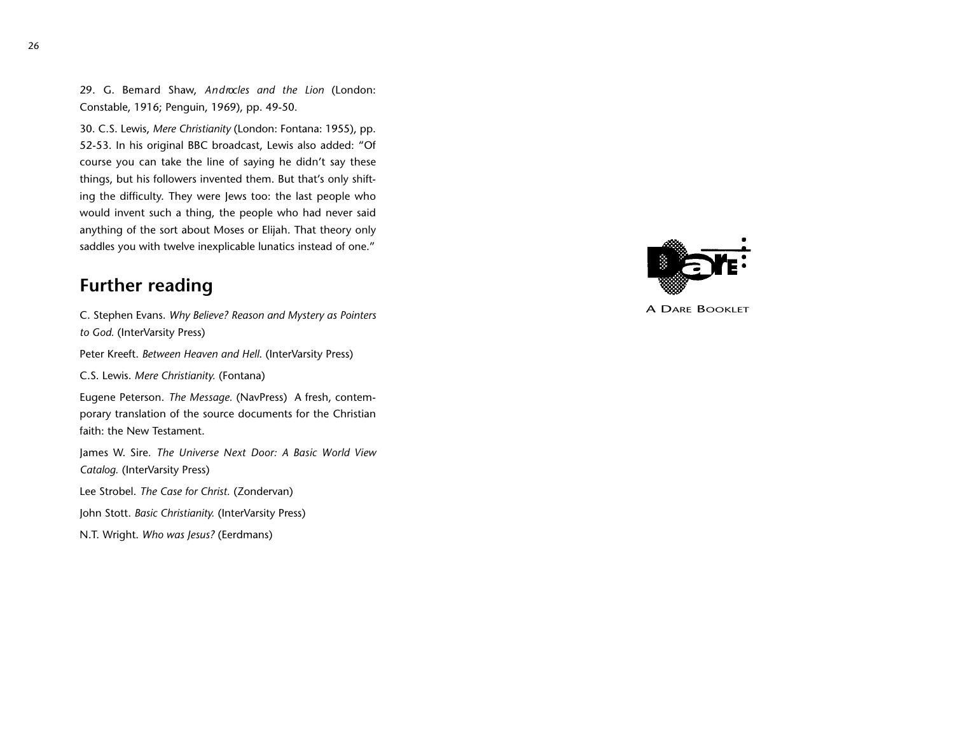29. G. Bemard Shaw, *Androcles and the Lion* (London: Constable, 1916; Penguin, 1969), pp. 49-50.

30. C.S. Lewis, *Mere Christianity* (London: Fontana: 1955), pp. 52-53. In his original BBC broadcast, Lewis also added: "Of course you can take the line of saying he didn't say these things, but his followers invented them. But that's only shifting the difficulty. They were Jews too: the last people who would invent such a thing, the people who had never said anything of the sort about Moses or Elijah. That theory only saddles you with twelve inexplicable lunatics instead of one."

## **Further reading**

C. Stephen Evans. *Why Believe? Reason and Mystery as Pointers to God.* (InterVarsity Press)

Peter Kreeft. *Between Heaven and Hell*. (InterVarsity Press)

C.S. Lewis. *Mere Christianity.* (Fontana)

Eugene Peterson. *The Message.* (NavPress) A fresh, contemporary translation of the source documents for the Christian faith: the New Testament.

James W. Sire*. The Universe Next Door: A Basic World View Catalog.* (InterVarsity Press)

Lee Strobel. *The Case for Christ.* (Zondervan)

John Stott. *Basic Christianity.* (InterVarsity Press)

N.T. Wright. *Who was Jesus?* (Eerdmans)



A DARE BOOKLET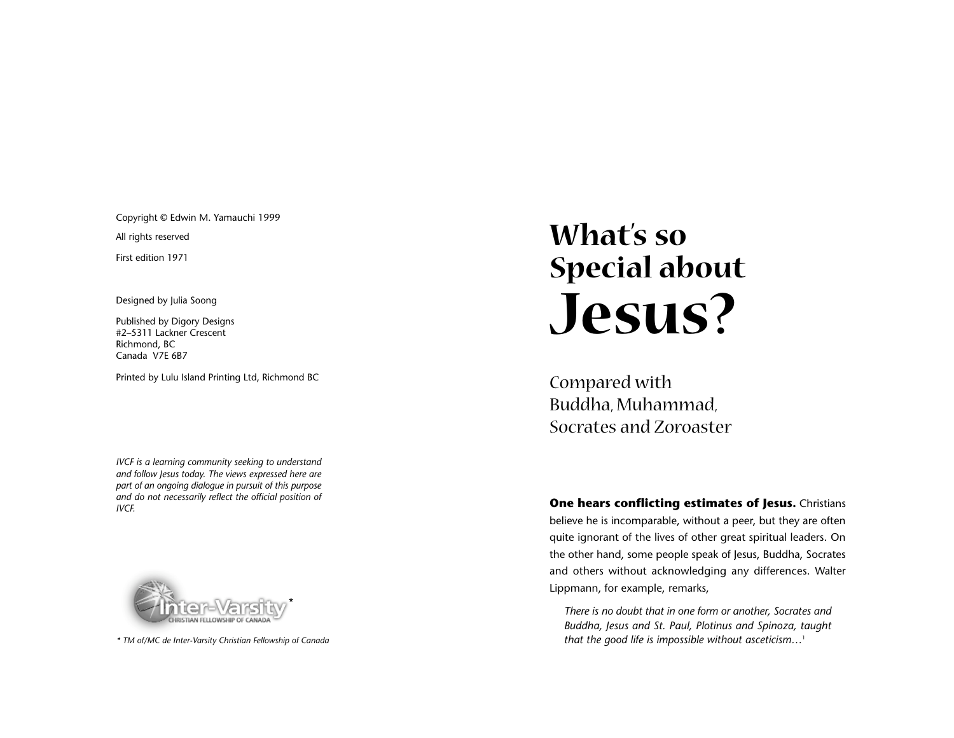Copyright © Edwin M. Yamauchi 1999

All rights reserved

First edition 1971

Designed by Julia Soong

Published by Digory Designs #2–5311 Lackner Crescent Richmond, BC Canada V7E 6B7

Printed by Lulu Island Printing Ltd, Richmond BC

*IVCF is a learning community seeking to understand and follow Jesus today. The views expressed here are part of an ongoing dialogue in pursuit of this purpose and do not necessarily reflect the official position of*



*\* TM of/MC de Inter-Varsity Christian Fellowship of Canada*

# What's so ' Special about<br>Jesus?

Compared with Buddha, Muhamm ad, Socrates and Zoroaster

*IVCF. IVCF.* **One hears conflicting estimates of Jesus.** Christians *One hears conflicting estimates of Jesus.* **Christians** believe he is incomparable, without a peer, but they are often quite ignorant of the lives of other great spiritual leaders. On the other hand, some people speak of Jesus, Buddha, Socrates and others without acknowledging any differences. Walter Lippmann, for example, remarks,

> *There is no doubt that in one form or another, Socrates and Buddha, Jesus and St. Paul, Plotinus and Spinoza, taught that the good life is impossible without asceticism…* 1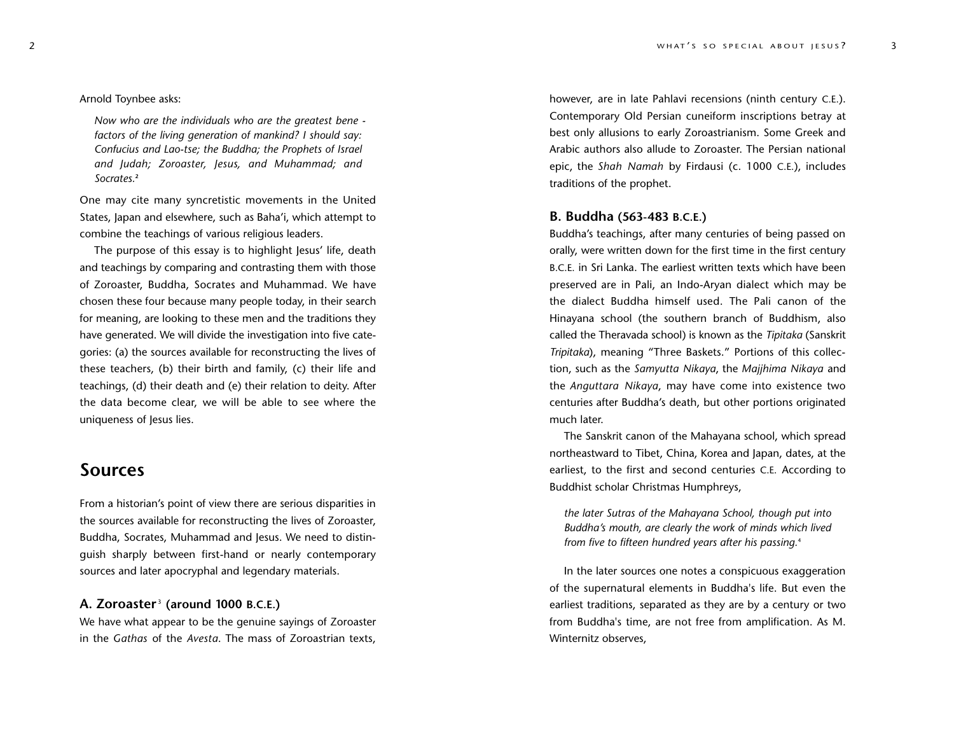#### Arnold Toynbee asks:

*Now who are the individuals who are the greatest bene factors of the living generation of mankind? I should say: Confucius and Lao-tse; the Buddha; the Prophets of Israel and Judah; Zoro a s t e r, Jesus, and Muhammad; and Socrates.***<sup>2</sup>**

One may cite many syncretistic movements in the United States, Japan and elsewhere, such as Baha'i, which attempt to combine the teachings of various religious leaders.

The purpose of this essay is to highlight Jesus' life, death and teachings by comparing and contrasting them with those of Zoroaster, Buddha, Socrates and Muhammad. We have chosen these four because many people today, in their search for meaning, are looking to these men and the traditions they have generated. We will divide the investigation into five categories: (a) the sources available for reconstructing the lives of these teachers, (b) their birth and family, (c) their life and teachings, (d) their death and (e) their relation to deity. After the data become clear, we will be able to see where the uniqueness of Jesus lies.

## **Sources**

From a historian's point of view there are serious disparities in the sources available for reconstructing the lives of Zoroaster, Buddha, Socrates, Muhammad and Jesus. We need to distinguish sharply between first-hand or nearly contemporary sources and later apocryphal and legendary materials.

#### **A. Zoroaster** <sup>3</sup> **(around 10 0 0 B.C.E.)**

We have what appear to be the genuine sayings of Zoroaster in the *Gathas* of the *Avesta*. The mass of Zoroastrian texts,

however, are in late Pahlavi recensions (ninth century C.E.). Contemporary Old Persian cuneiform inscriptions betray at best only allusions to early Zoroastrianism. Some Greek and Arabic authors also allude to Zoroaster. The Persian national epic, the *Shah Namah* by Firdausi (c. 1000 C.E.), includes traditions of the prophet.

#### **B. Buddha (563-483 B.C.E.)**

Buddha's teachings, after many centuries of being passed on orally, were written down for the first time in the first century B.C.E. in Sri Lanka. The earliest written texts which have been preserved are in Pali, an Indo-Aryan dialect which may be the dialect Buddha himself used. The Pali canon of the Hinayana school (the southern branch of Buddhism, also called the Theravada school) is known as the *Tipitaka* (Sanskrit *Tripitaka*), meaning "Three Baskets." Portions of this collection, such as the *Samyutta Nikaya*, the *Majjhima Nikaya* and the *Anguttara Nikaya*, may have come into existence two centuries after Buddha's death, but other portions originated much later.

The Sanskrit canon of the Mahayana school, which spread northeastward to Tibet, China, Korea and Japan, dates, at the earliest, to the first and second centuries C.E. According to Buddhist scholar Christmas Humphreys,

*the later Sutras of the Mahayana School, though put into Buddha's mouth, are clearly the work of minds which lived from five to fifteen hundred years after his passing.*<sup>4</sup>

In the later sources one notes a conspicuous exaggeration of the supernatural elements in Buddha's life. But even the earliest traditions, separated as they are by a century or two from Buddha's time, are not free from amplification. As M. Winternitz observes,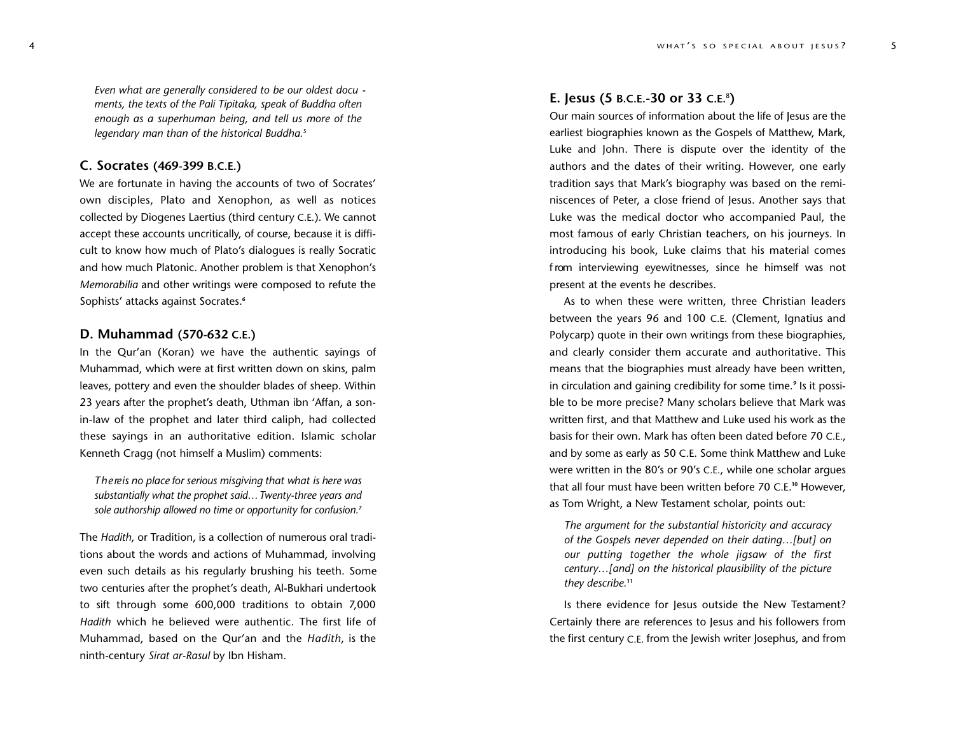*Even what are generally considered to be our oldest docu ments, the texts of the Pali Tipitaka, speak of Buddha often enough as a superhuman being, and tell us more of the legendary man than of the historical Buddha.*<sup>5</sup>

### **C. Socrates (469-399 B.C.E.)**

We are fortunate in having the accounts of two of Socrates' own disciples, Plato and Xenophon, as well as notices collected by Diogenes Laertius (third century C.E.). We cannot accept these accounts uncritically, of course, because it is difficult to know how much of Plato's dialogues is really Socratic and how much Platonic. Another problem is that Xenophon's *Memorabilia* and other writings were composed to refute the Sophists' attacks against Socrates.**<sup>6</sup>**

#### **D. Muhammad (570-632 C.E.)**

In the Qur'an (Koran) we have the authentic sayings of Muhammad, which were at first written down on skins, palm leaves, pottery and even the shoulder blades of sheep. Within 23 years after the prophet's death, Uthman ibn 'Affan, a sonin-law of the prophet and later third caliph, had collected these sayings in an authoritative edition. Islamic scholar Kenneth Cragg (not himself a Muslim) comments:

*T h e re is no place for serious misgiving that what is here was substantially what the prophet said…Twenty-three years and sole authorship allowed no time or opportunity for confusion.***<sup>7</sup>**

The *Hadith*, or Tradition, is a collection of numerous oral traditions about the words and actions of Muhammad, involving even such details as his regularly brushing his teeth. Some two centuries after the prophet's death, Al-Bukhari undertook to sift through some 600,000 traditions to obtain 7,000 *Hadith* which he believed were authentic. The first life of Muhammad, based on the Qur'an and the *Hadith*, is the ninth-century *Sirat ar-Rasul* by Ibn Hisham.

#### **E. Jesus (5 B.C.E.-30 or 33 C.E.**<sup>8</sup> **)**

Our main sources of information about the life of Jesus are the earliest biographies known as the Gospels of Matthew, Mark, Luke and John. There is dispute over the identity of the authors and the dates of their writing. However, one early tradition says that Mark's biography was based on the reminiscences of Peter, a close friend of Jesus. Another says that Luke was the medical doctor who accompanied Paul, the most famous of early Christian teachers, on his journeys. In introducing his book, Luke claims that his material comes f rom interviewing eyewitnesses, since he himself was not present at the events he describes.

As to when these were written, three Christian leaders between the years 96 and 100 C.E. (Clement, Ignatius and Polycarp) quote in their own writings from these biographies, and clearly consider them accurate and authoritative. This means that the biographies must already have been written, in circulation and gaining credibility for some time.**<sup>9</sup>** Is it possible to be more precise? Many scholars believe that Mark was written first, and that Matthew and Luke used his work as the basis for their own. Mark has often been dated before 70 C.E., and by some as early as 50 C.E. Some think Matthew and Luke were written in the 80's or 90's C.E., while one scholar argues that all four must have been written before 70 C.E. **<sup>10</sup>** However, as Tom Wright, a New Testament scholar, points out:

*The argument for the substantial historicity and accuracy of the Gospels never depended on their dating…[but] on our putting together the whole jigsaw of the first century…[and] on the historical plausibility of the picture they describe.***<sup>11</sup>**

Is there evidence for Jesus outside the New Testament? Certainly there are references to Jesus and his followers from the first century C.E. from the Jewish writer Josephus, and from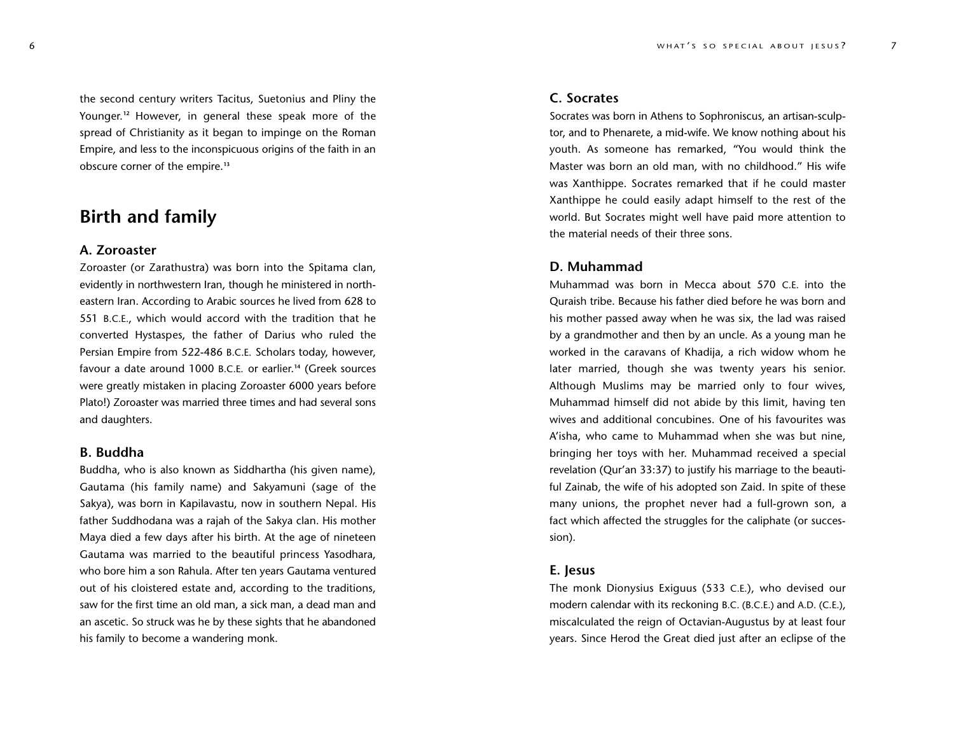the second century writers Tacitus, Suetonius and Pliny the Younger.<sup>12</sup> However, in general these speak more of the spread of Christianity as it began to impinge on the Roman Empire, and less to the inconspicuous origins of the faith in an obscure corner of the empire.**<sup>13</sup>**

## **Birth and family**

#### **A. Zoroaster**

Zoroaster (or Zarathustra) was born into the Spitama clan, evidently in northwestern Iran, though he ministered in northeastern Iran. According to Arabic sources he lived from 628 to 551 B.C.E., which would accord with the tradition that he converted Hystaspes, the father of Darius who ruled the Persian Empire from 522-486 B.C.E. Scholars today, however, favour a date around 1000 B.C.E. or earlier. **<sup>14</sup>** (Greek sources were greatly mistaken in placing Zoroaster 6000 years before Plato!) Zoroaster was married three times and had several sons and daughters.

#### **B. Buddha**

Buddha, who is also known as Siddhartha (his given name), Gautama (his family name) and Sakyamuni (sage of the Sakya), was born in Kapilavastu, now in southern Nepal. His father Suddhodana was a rajah of the Sakya clan. His mother Maya died a few days after his birth. At the age of nineteen Gautama was married to the beautiful princess Yasodhara, who bore him a son Rahula. After ten years Gautama ventured out of his cloistered estate and, according to the traditions, saw for the first time an old man, a sick man, a dead man and an ascetic. So struck was he by these sights that he abandoned his family to become a wandering monk.

#### **C. Socrates**

Socrates was born in Athens to Sophroniscus, an artisan-sculptor, and to Phenarete, a mid-wife. We know nothing about his youth. As someone has remarked, "You would think the Master was born an old man, with no childhood." His wife was Xanthippe. Socrates remarked that if he could master Xanthippe he could easily adapt himself to the rest of the world. But Socrates might well have paid more attention to the material needs of their three sons.

#### **D. Muhammad**

Muhammad was born in Mecca about 570 C.E. into the Quraish tribe. Because his father died before he was born and his mother passed away when he was six, the lad was raised by a grandmother and then by an uncle. As a young man he worked in the caravans of Khadija, a rich widow whom he later married, though she was twenty years his senior. Although Muslims may be married only to four wives, Muhammad himself did not abide by this limit, having ten wives and additional concubines. One of his favourites was A'isha, who came to Muhammad when she was but nine, bringing her toys with her. Muhammad received a special revelation (Qur'an 33:37) to justify his marriage to the beautiful Zainab, the wife of his adopted son Zaid. In spite of these many unions, the prophet never had a full-grown son, a fact which affected the struggles for the caliphate (or succession).

#### **E. Jesus**

The monk Dionysius Exiguus (533 C.E.), who devised our modern calendar with its reckoning B.C. (B.C.E.) and A.D. (C.E.), miscalculated the reign of Octavian-Augustus by at least four years. Since Herod the Great died just after an eclipse of the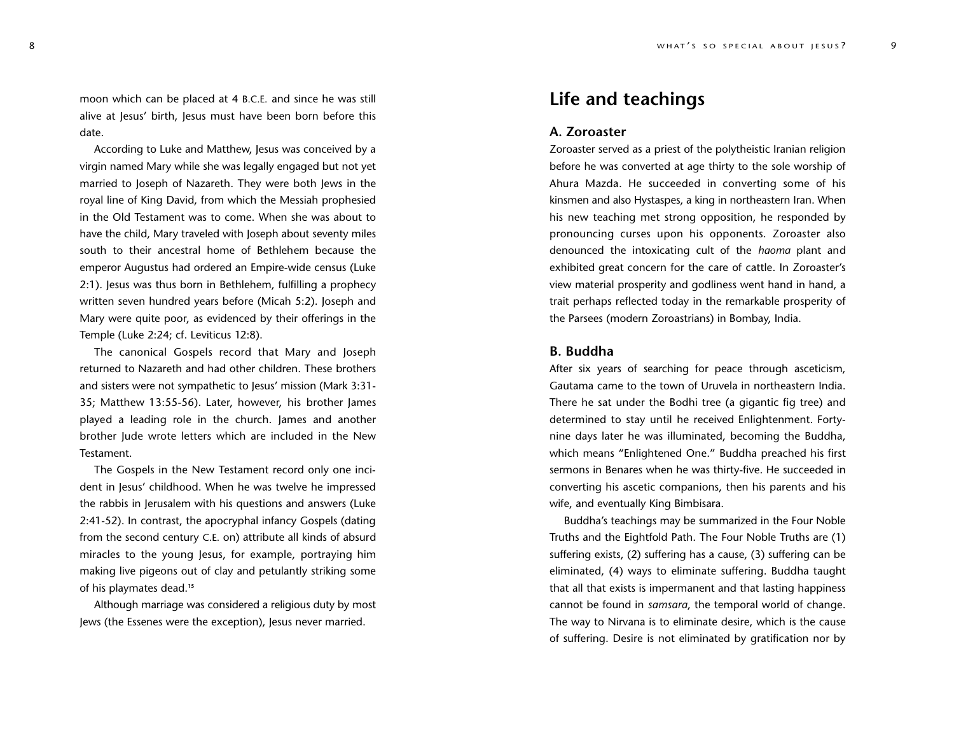moon which can be placed at 4 B.C.E. and since he was still alive at Jesus' birth, Jesus must have been born before this date.

According to Luke and Matthew, Jesus was conceived by a virgin named Mary while she was legally engaged but not yet married to Joseph of Nazareth. They were both Jews in the royal line of King David, from which the Messiah prophesied in the Old Testament was to come. When she was about to have the child, Mary traveled with Joseph about seventy miles south to their ancestral home of Bethlehem because the emperor Augustus had ordered an Empire-wide census (Luke 2:1). Jesus was thus born in Bethlehem, fulfilling a prophecy written seven hundred years before (Micah 5:2). Joseph and Mary were quite poor, as evidenced by their offerings in the Temple (Luke 2:24; cf. Leviticus 12:8).

The canonical Gospels record that Mary and Joseph returned to Nazareth and had other children. These brothers and sisters were not sympathetic to Jesus' mission (Mark 3:31- 35; Matthew 13:55-56). Later, however, his brother James played a leading role in the church. James and another brother Jude wrote letters which are included in the New Testament.

The Gospels in the New Testament record only one incident in Jesus' childhood. When he was twelve he impressed the rabbis in Jerusalem with his questions and answers (Luke 2:41-52). In contrast, the apocryphal infancy Gospels (dating from the second century C.E. on) attribute all kinds of absurd miracles to the young Jesus, for example, portraying him making live pigeons out of clay and petulantly striking some of his playmates dead.**<sup>15</sup>**

Although marriage was considered a religious duty by most Jews (the Essenes were the exception), Jesus never married.

## **Life and teachings**

#### **A. Zoroaster**

Zoroaster served as a priest of the polytheistic Iranian religion before he was converted at age thirty to the sole worship of Ahura Mazda. He succeeded in converting some of his kinsmen and also Hystaspes, a king in northeastern Iran. When his new teaching met strong opposition, he responded by pronouncing curses upon his opponents. Zoroaster also denounced the intoxicating cult of the *haoma* plant and exhibited great concern for the care of cattle. In Zoroaster's view material prosperity and godliness went hand in hand, a trait perhaps reflected today in the remarkable prosperity of the Parsees (modern Zoroastrians) in Bombay, India.

#### **B. Buddha**

After six years of searching for peace through asceticism, Gautama came to the town of Uruvela in northeastern India. There he sat under the Bodhi tree (a gigantic fig tree) and determined to stay until he received Enlightenment. Fortynine days later he was illuminated, becoming the Buddha, which means "Enlightened One." Buddha preached his first sermons in Benares when he was thirty-five. He succeeded in converting his ascetic companions, then his parents and his wife, and eventually King Bimbisara.

Buddha's teachings may be summarized in the Four Noble Truths and the Eightfold Path. The Four Noble Truths are (1) suffering exists, (2) suffering has a cause, (3) suffering can be eliminated, (4) ways to eliminate suffering. Buddha taught that all that exists is impermanent and that lasting happiness cannot be found in *samsara*, the temporal world of change. The way to Nirvana is to eliminate desire, which is the cause of suffering. Desire is not eliminated by gratification nor by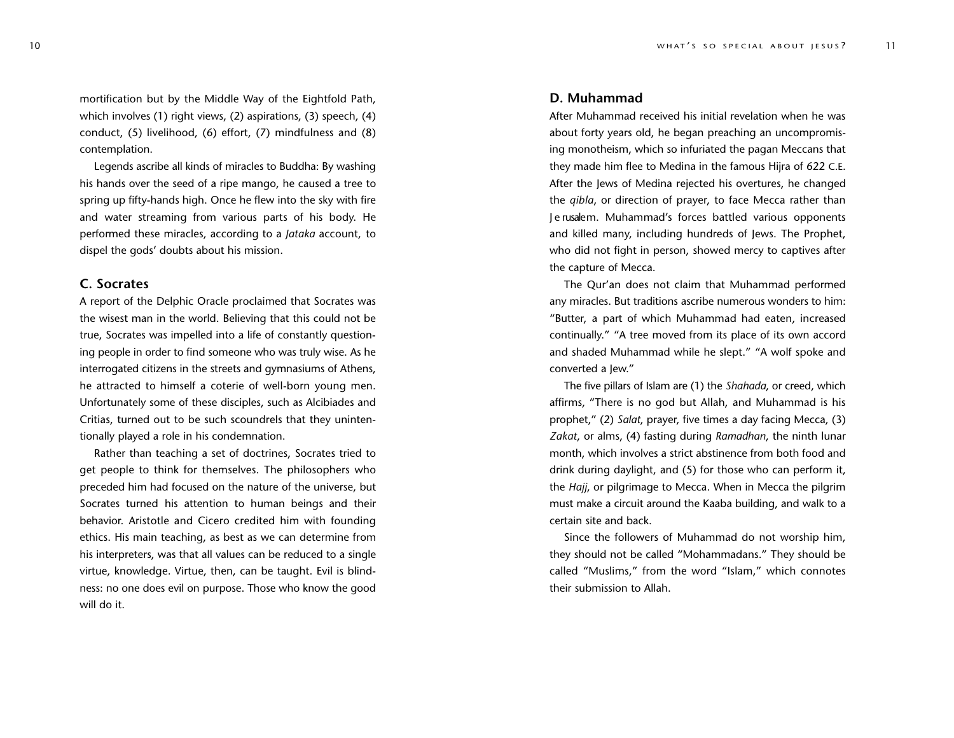mortification but by the Middle Way of the Eightfold Path, which involves (1) right views, (2) aspirations, (3) speech, (4) conduct, (5) livelihood, (6) effort, (7) mindfulness and (8) contemplation.

Legends ascribe all kinds of miracles to Buddha: By washing his hands over the seed of a ripe mango, he caused a tree to spring up fifty-hands high. Once he flew into the sky with fire and water streaming from various parts of his body. He performed these miracles, according to a *Jataka* account, to dispel the gods' doubts about his mission.

#### **C. Socrates**

A report of the Delphic Oracle proclaimed that Socrates was the wisest man in the world. Believing that this could not be true, Socrates was impelled into a life of constantly questioning people in order to find someone who was truly wise. As he interrogated citizens in the streets and gymnasiums of Athens, he attracted to himself a coterie of well-born young men. Unfortunately some of these disciples, such as Alcibiades and Critias, turned out to be such scoundrels that they unintentionally played a role in his condemnation.

Rather than teaching a set of doctrines, Socrates tried to get people to think for themselves. The philosophers who preceded him had focused on the nature of the universe, but Socrates turned his attention to human beings and their behavior. Aristotle and Cicero credited him with founding ethics. His main teaching, as best as we can determine from his interpreters, was that all values can be reduced to a single virtue, knowledge. Virtue, then, can be taught. Evil is blindness: no one does evil on purpose. Those who know the good will do it.

#### **D. Muhammad**

After Muhammad received his initial revelation when he was about forty years old, he began preaching an uncompromising monotheism, which so infuriated the pagan Meccans that they made him flee to Medina in the famous Hijra of 622 C.E. After the Jews of Medina rejected his overtures, he changed the *qibla*, or direction of prayer, to face Mecca rather than J e rusalem. Muhammad's forces battled various opponents and killed many, including hundreds of Jews. The Prophet, who did not fight in person, showed mercy to captives after the capture of Mecca.

The Qur'an does not claim that Muhammad performed any miracles. But traditions ascribe numerous wonders to him: "Butter, a part of which Muhammad had eaten, increased continually." "A tree moved from its place of its own accord and shaded Muhammad while he slept." "A wolf spoke and converted a Jew."

The five pillars of Islam are (1) the *Shahada*, or creed, which affirms, "There is no god but Allah, and Muhammad is his prophet," (2) *Salat*, prayer, five times a day facing Mecca, (3) *Zakat*, or alms, (4) fasting during *Ramadhan*, the ninth lunar month, which involves a strict abstinence from both food and drink during daylight, and (5) for those who can perform it, the *Hajj*, or pilgrimage to Mecca. When in Mecca the pilgrim must make a circuit around the Kaaba building, and walk to a certain site and back.

Since the followers of Muhammad do not worship him, they should not be called "Mohammadans." They should be called "Muslims," from the word "Islam," which connotes their submission to Allah.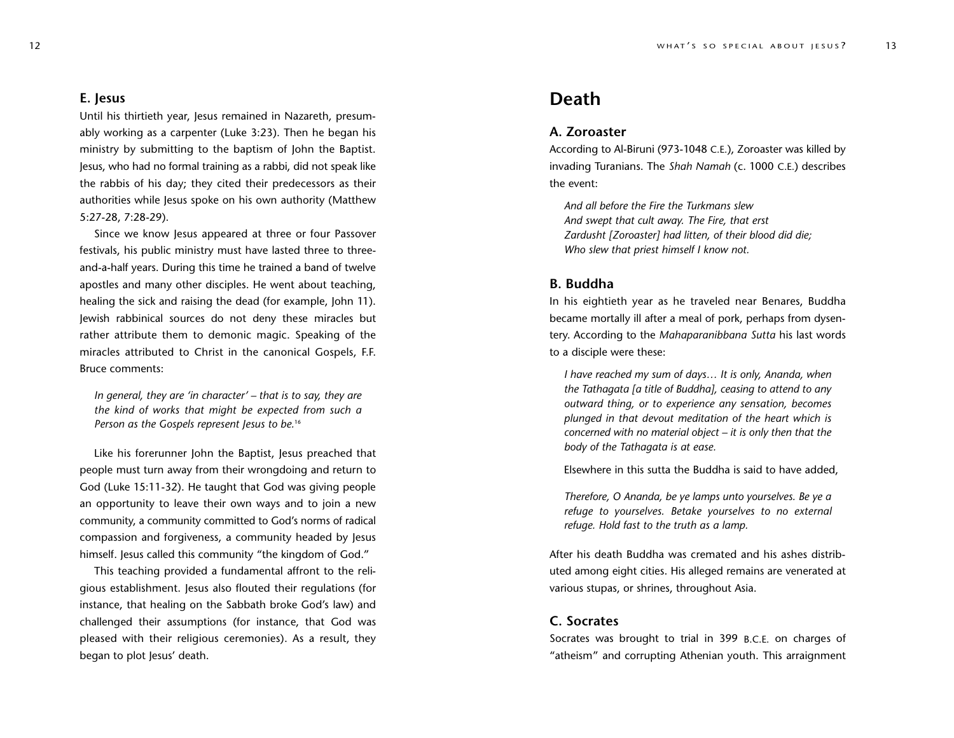#### **E. Jesus**

Until his thirtieth year, Jesus remained in Nazareth, presumably working as a carpenter (Luke 3:23). Then he began his ministry by submitting to the baptism of John the Baptist. Jesus, who had no formal training as a rabbi, did not speak like the rabbis of his day; they cited their predecessors as their authorities while Jesus spoke on his own authority (Matthew 5:27-28, 7:28-29).

Since we know Jesus appeared at three or four Passover festivals, his public ministry must have lasted three to threeand-a-half years. During this time he trained a band of twelve apostles and many other disciples. He went about teaching, healing the sick and raising the dead (for example, John 11). Jewish rabbinical sources do not deny these miracles but rather attribute them to demonic magic. Speaking of the miracles attributed to Christ in the canonical Gospels, F.F. Bruce comments:

*In general, they are 'in character' – that is to say, they are the kind of works that might be expected from such a Person as the Gospels represent Jesus to be.*<sup>16</sup>

Like his forerunner John the Baptist, Jesus preached that people must turn away from their wrongdoing and return to God (Luke 15:11-32). He taught that God was giving people an opportunity to leave their own ways and to join a new community, a community committed to God's norms of radical compassion and forgiveness, a community headed by Jesus himself. Jesus called this community "the kingdom of God."

This teaching provided a fundamental affront to the religious establishment. Jesus also flouted their regulations (for instance, that healing on the Sabbath broke God's law) and challenged their assumptions (for instance, that God was pleased with their religious ceremonies). As a result, they began to plot Jesus' death.

## **Death**

#### **A. Zoroaster**

According to Al-Biruni (973-1048 C.E.), Zoroaster was killed by invading Turanians. The *Shah Namah* (c. 1000 C.E.) describes the event:

*And all before the Fire the Turkmans slew And swept that cult away. The Fire, that erst Zardusht [Zoroaster] had litten, of their blood did die; Who slew that priest himself I know not.*

#### **B. Buddha**

In his eightieth year as he traveled near Benares, Buddha became mortally ill after a meal of pork, perhaps from dysentery. According to the *Mahaparanibbana Sutta* his last words to a disciple were these:

*I have reached my sum of days… It is only, Ananda, when the Tathagata [a title of Buddha], ceasing to attend to any outward thing, or to experience any sensation, becomes plunged in that devout meditation of the heart which is concerned with no material object – it is only then that the body of the Tathagata is at ease.*

Elsewhere in this sutta the Buddha is said to have added,

*Therefore, O Ananda, be ye lamps unto yourselves. Be ye a refuge* to *yourselves.* Betake *yourselves* to *no external refuge. Hold fast to the truth as a lamp.*

After his death Buddha was cremated and his ashes distributed among eight cities. His alleged remains are venerated at various stupas, or shrines, throughout Asia.

#### **C. Socrates**

Socrates was brought to trial in 399 B.C.E. on charges of "atheism" and corrupting Athenian youth. This arraignment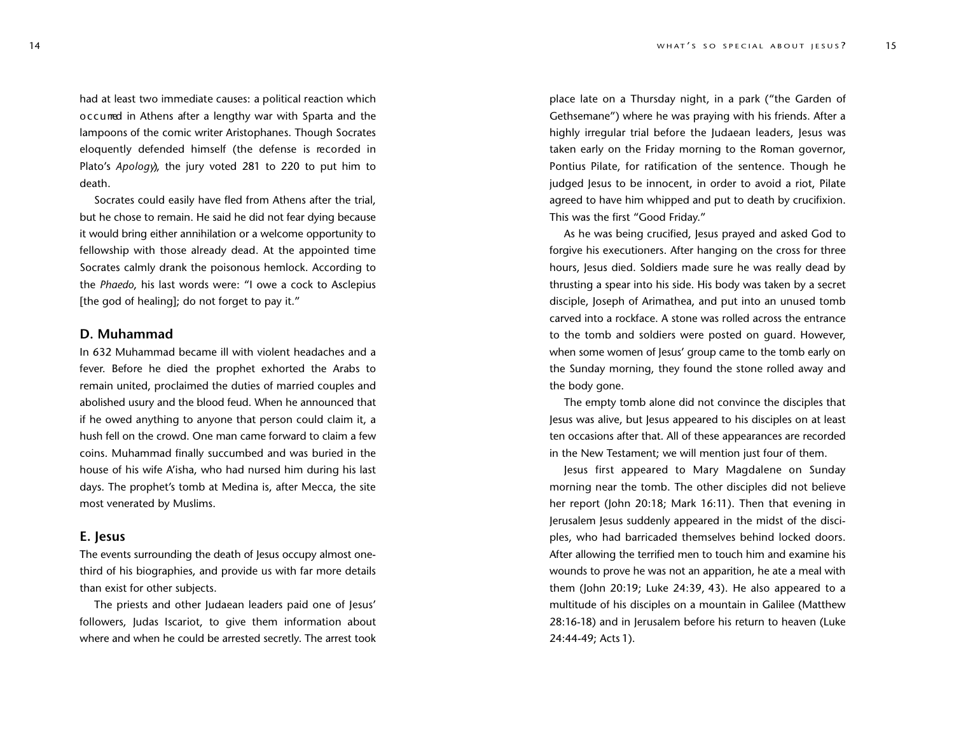had at least two immediate causes: a political reaction which o c c u rred in Athens after a lengthy war with Sparta and the lampoons of the comic writer Aristophanes. Though Socrates eloquently defended himself (the defense is recorded in Plato's *Apology*), the jury voted 281 to 220 to put him to death.

Socrates could easily have fled from Athens after the trial, but he chose to remain. He said he did not fear dying because it would bring either annihilation or a welcome opportunity to fellowship with those already dead. At the appointed time Socrates calmly drank the poisonous hemlock. According to the *Phaedo*, his last words were: "I owe a cock to Asclepius [the god of healing]; do not forget to pay it."

#### **D. Muhammad**

In 632 Muhammad became ill with violent headaches and a fever. Before he died the prophet exhorted the Arabs to remain united, proclaimed the duties of married couples and abolished usury and the blood feud. When he announced that if he owed anything to anyone that person could claim it, a hush fell on the crowd. One man came forward to claim a few coins. Muhammad finally succumbed and was buried in the house of his wife A'isha, who had nursed him during his last days. The prophet's tomb at Medina is, after Mecca, the site most venerated by Muslims.

#### **E. Jesus**

The events surrounding the death of Jesus occupy almost onethird of his biographies, and provide us with far more details than exist for other subjects.

The priests and other Judaean leaders paid one of Jesus' followers, Judas Iscariot, to give them information about where and when he could be arrested secretly. The arrest took

place late on a Thursday night, in a park ("the Garden of Gethsemane") where he was praying with his friends. After a highly irregular trial before the Judaean leaders, Jesus was taken early on the Friday morning to the Roman governor, Pontius Pilate, for ratification of the sentence. Though he judged Jesus to be innocent, in order to avoid a riot, Pilate agreed to have him whipped and put to death by crucifixion. This was the first "Good Friday."

As he was being crucified, Jesus prayed and asked God to forgive his executioners. After hanging on the cross for three hours, Jesus died. Soldiers made sure he was really dead by thrusting a spear into his side. His body was taken by a secret disciple, Joseph of Arimathea, and put into an unused tomb carved into a rockface. A stone was rolled across the entrance to the tomb and soldiers were posted on guard. However, when some women of Jesus' group came to the tomb early on the Sunday morning, they found the stone rolled away and the body gone.

The empty tomb alone did not convince the disciples that Jesus was alive, but Jesus appeared to his disciples on at least ten occasions after that. All of these appearances are recorded in the New Testament; we will mention just four of them.

Jesus first appeared to Mary Magdalene on Sunday morning near the tomb. The other disciples did not believe her report (John 20:18; Mark 16:11). Then that evening in Jerusalem Jesus suddenly appeared in the midst of the disciples, who had barricaded themselves behind locked doors. After allowing the terrified men to touch him and examine his wounds to prove he was not an apparition, he ate a meal with them (John 20:19; Luke 24:39, 43). He also appeared to a multitude of his disciples on a mountain in Galilee (Matthew 28:16-18) and in Jerusalem before his return to heaven (Luke 24:44-49; Acts 1).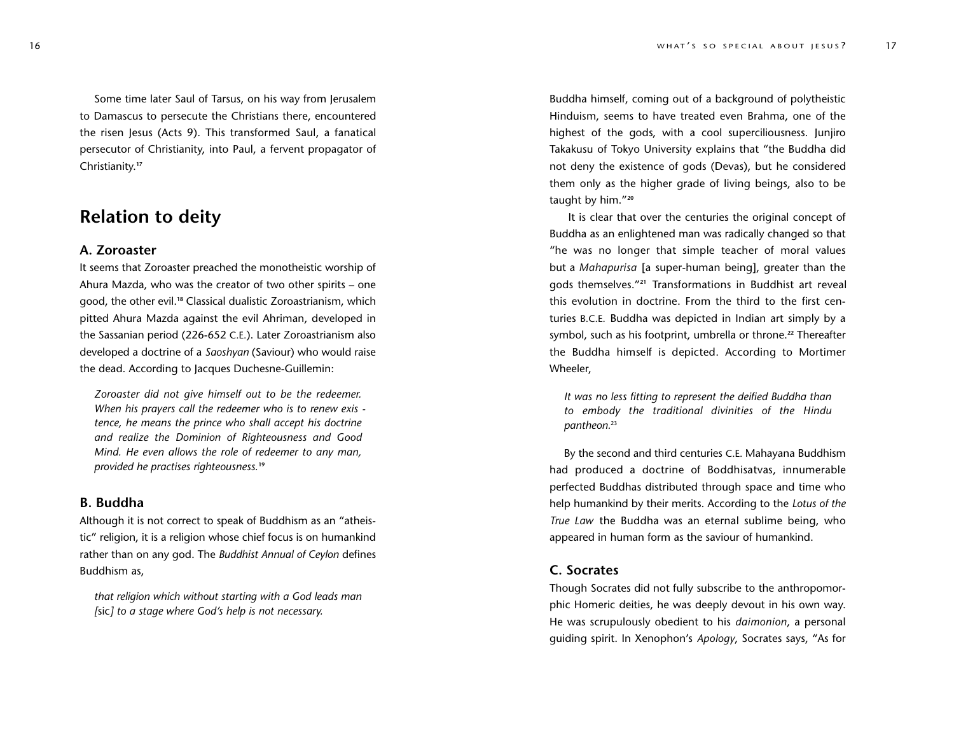Some time later Saul of Tarsus, on his way from Jerusalem to Damascus to persecute the Christians there, encountered the risen Jesus (Acts 9). This transformed Saul, a fanatical persecutor of Christianity, into Paul, a fervent propagator of Christianity. **17**

## **Relation to deity**

#### **A. Zoroaster**

It seems that Zoroaster preached the monotheistic worship of Ahura Mazda, who was the creator of two other spirits – one good, the other evil.**<sup>18</sup>** Classical dualistic Zoroastrianism, which pitted Ahura Mazda against the evil Ahriman, developed in the Sassanian period (226-652 C.E.). Later Zoroastrianism also developed a doctrine of a *Saoshyan* (Saviour) who would raise the dead. According to Jacques Duchesne-Guillemin:

*Zoroaster did not give himself out to be the redeemer. When his prayers call the redeemer who is to renew exis tence, he means the prince who shall accept his doctrine and realize the Dominion of Righteousness and Good Mind. He even allows the role of redeemer to any man, provided he practises righteousness.***<sup>19</sup>**

#### **B. Buddha**

Although it is not correct to speak of Buddhism as an "atheistic" religion, it is a religion whose chief focus is on humankind rather than on any god. The *Buddhist Annual of Ceylon* defines Buddhism as,

*that religion which without starting with a God leads man [*sic*] to a stage where God's help is not necessary.*

Buddha himself, coming out of a background of polytheistic Hinduism, seems to have treated even Brahma, one of the highest of the gods, with a cool superciliousness. Junjiro Takakusu of Tokyo University explains that "the Buddha did not deny the existence of gods (Devas), but he considered them only as the higher grade of living beings, also to be taught by him."**<sup>20</sup>**

It is clear that over the centuries the original concept of Buddha as an enlightened man was radically changed so that "he was no longer that simple teacher of moral values but a *Mahapurisa* [a super-human being], greater than the gods themselves."**<sup>21</sup>** Transformations in Buddhist art reveal this evolution in doctrine. From the third to the first centuries B.C.E. Buddha was depicted in Indian art simply by a symbol, such as his footprint, umbrella or throne.**<sup>22</sup>** Thereafter the Buddha himself is depicted. According to Mortimer Wheeler,

*It was no less fitting to represent the deified Buddha than to embody the traditional divinities of the Hindu pantheon.*<sup>23</sup>

By the second and third centuries C.E. Mahayana Buddhism had produced a doctrine of Boddhisatvas, innumerable perfected Buddhas distributed through space and time who help humankind by their merits. According to the *Lotus of the True Law* the Buddha was an eternal sublime being, who appeared in human form as the saviour of humankind.

#### **C. Socrates**

Though Socrates did not fully subscribe to the anthropomorphic Homeric deities, he was deeply devout in his own way. He was scrupulously obedient to his *daimonion*, a personal guiding spirit. In Xenophon's *Apology*, Socrates says, "As for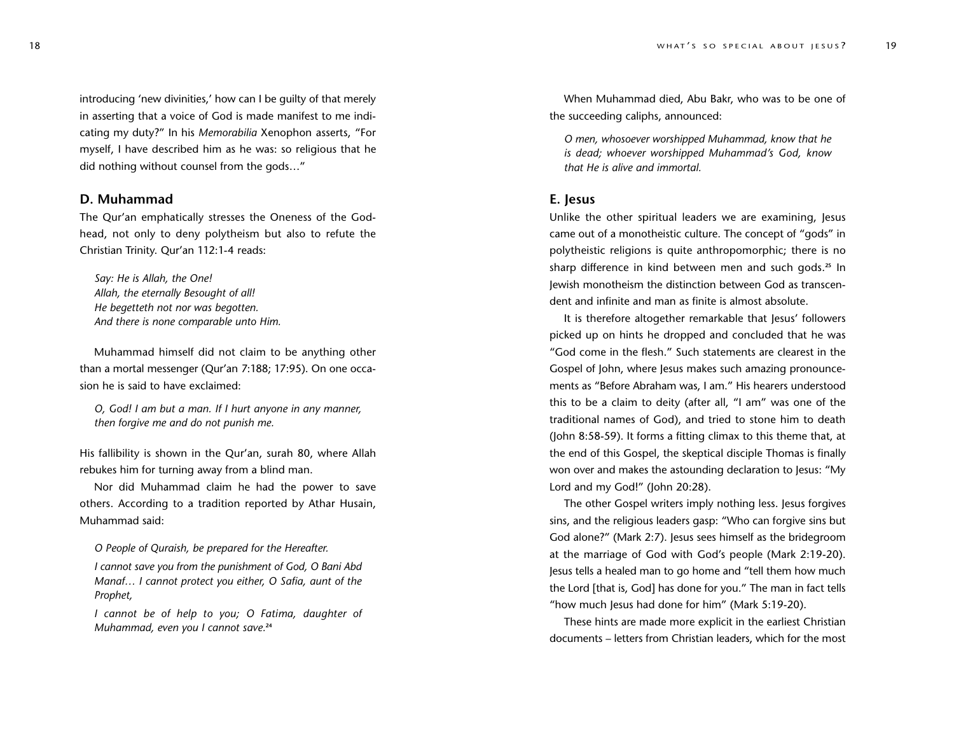introducing 'new divinities,' how can I be guilty of that merely in asserting that a voice of God is made manifest to me indi cating my duty?" In his *Memorabilia* Xenophon asserts, "For myself, I have described him as he was: so religious that he did nothing without counsel from the gods…"

#### **D. Muhammad**

The Qur'an emphatically stresses the Oneness of the Godhead, not only to deny polytheism but also to refute the Christian Trinity. Qur'an 1 12: 1 -4 reads:

*Say: He is Allah, the One! Allah, the eternally Besought of all! He begetteth not nor was begotten. And there is none comparable unto Him.*

Muhammad himself did not claim to be anything other than a mortal messenger (Qur'an 7:188; 17:95). On one occa sion he is said to have exclaimed:

*O, God! I am but a man. If I hurt anyone in any manner, then forgive me and do not punish me.*

His fallibility is shown in the Qur'an, surah 80, where Allah rebukes him for turning away from a blind man.

Nor did Muhammad claim he had the power to sa v e others. According to a tradition reported by Athar Husain, Muhammad said:

*O People of Quraish, be prepared for the Hereafter.*

*I cannot save you from the punishment of God, O Bani Abd Manaf… I cannot protect you either, O Safia, aunt of the Prophet,*

I cannot be of help to you; O Fatima, daughter of *Muhammad, even you I cannot save.***<sup>24</sup>**

When Muhammad died, Abu Bakr, who was to be one of the succeeding caliphs, announced:

*O men, whosoever worshipped Muhammad, know that he is dead; whoever worshipped Muhammad's God, know that He is alive and immortal.*

#### **E. Jesus**

Unlike the other spiritual leaders we are examining, Jesus came out of a monotheistic culture. The concept of "gods" in polytheistic religions is quite anthropomorphic; there is no sharp difference in kind between men and such gods.**<sup>25</sup>** In Jewish monotheism the distinction between God as transcen dent and infinite and man as finite is almost absolute.

It is therefore altogether remarkable that Jesus' followers picked up on hints he dropped and concluded that he was "God come in the flesh." Such statements are clearest in the Gospel of John, where Jesus makes such amazing pronounce ments as "Before Abraham was, I am." His hearers understood this to be a claim to deity (after all, "I am" was one of the traditional names of God), and tried to stone him to death (John 8:58-59). It forms a fitting climax to this theme that, at the end of this Gospel, the skeptical disciple Thomas is finally won over and makes the astounding declaration to Jesus: "My Lord and my God!" (John 20:28).

The other Gospel writers imply nothing less. Jesus forgives sins, and the religious leaders gasp: "Who can forgive sins but God alone?" (Mark 2:7). Jesus sees himself as the bridegroom at the marriage of God with God's people (Mark 2:19-20). Jesus tells a healed man to go home and "tell them how much the Lord [that is, God] has done for you." The man in fact tells "how much Jesus had done for him" (Mark 5:19-20).

These hints are made more explicit in the earliest Christian documents – letters from Christian leaders, which for the most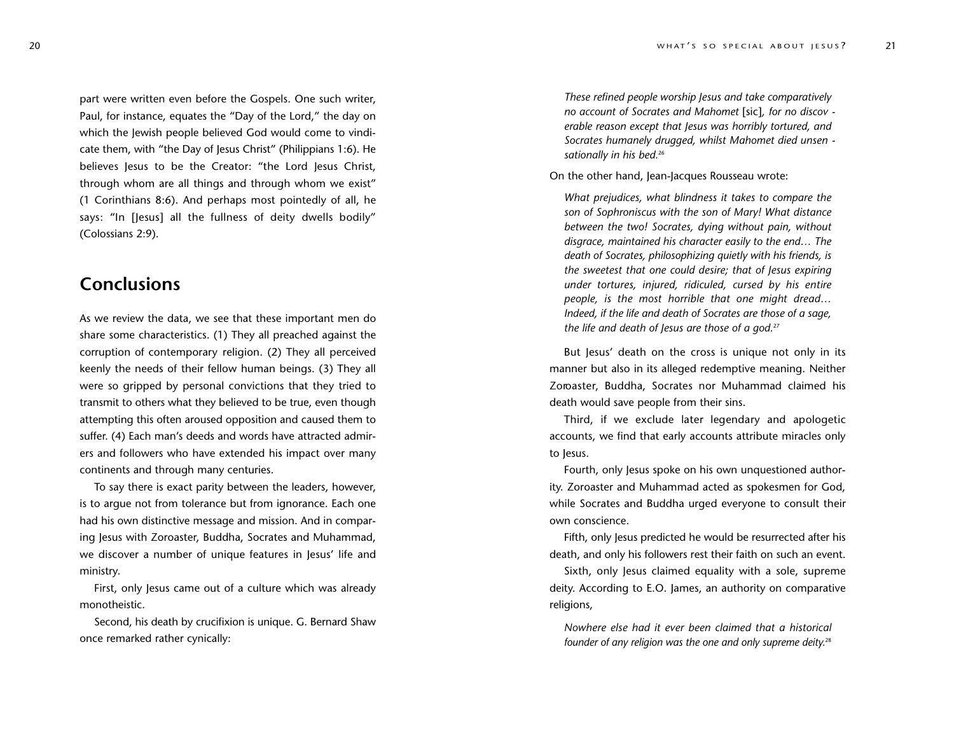part were written even before the Gospels. One such writer, Paul, for instance, equates the "Day of the Lord," the day on which the Jewish people believed God would come to vindi cate them, with "the Day of Jesus Christ" (Philippians 1:6). He believes Jesus to be the Creator: "the Lord Jesus Christ, through whom are all things and through whom we exist" (1 Corinthians 8:6). And perhaps most pointedly of all, he says: "In [Jesus] all the fullness of deity dwells bodily" (Colossians 2:9).

## **Conclusions**

As we review the data, we see that these important men do share some characteristics. (1) They all preached against the cor ruption of contemporary religion. (2) They all perceived keenly the needs of their fellow human beings. (3) They all were so gripped by personal convictions that they tried to transmit to others what they believed to be true, even though attempting this often aroused opposition and caused them to suffer. (4) Each man's deeds and words have attracted admir ers and followers who have extended his impact over many continents and through many centuries.

To say there is exact parity between the leaders, however, is to argue not from tolerance but from ignorance. Each one had his own distinctive message and mission. And in compar ing Jesus with Zoroaster, Buddha, Socrates and Muhammad, we discover a number of unique features in Jesus' life and ministry .

First, only Jesus came out of a culture which was already monotheistic.

Second, his death by crucifixion is unique. G. Bernard Shaw once remarked rather cynically:

*These refined people worship Jesus and take comparatively no account of Socrates and Mahomet* [sic]*, for no discov erable reason except that Jesus was horribly tortured, and Socrates humanely drugged, whilst Mahomet died unsen sationally in his bed.*<sup>26</sup>

On the other hand, Jean-Jacques Rousseau wrote:

*What prejudices, what blindness it takes to compare the son of Sophroniscus with the son of Mary! What distance between the two! Socrates, dying without pain, without disgrace, maintained his character easily to the end… The death of Socrates, philosophizing quietly with his friends, is the sweetest that one could desire; that of Jesus expiring under tortures, injured, ridiculed, cursed by his entire* people, is the most horrible that one might dread... *Indeed, if the life and death of Socrates are those of a sage, the life and death of Jesus are those of a god.*<sup>27</sup>

But Jesus' death on the cross is unique not only in its manner but also in its alleged redemptive meaning. Neither Zoroaster, Buddha, Socrates nor Muhammad claimed his death would save people from their sins.

Third, if we exclude later legendary and apologetic accounts, we find that early accounts attribute miracles only to Jesus.

Fourth, only Jesus spoke on his own unquestioned author ity. Zoroaster and Muhammad acted as spokesmen for God, while Socrates and Buddha urged everyone to consult their own conscience.

Fifth, only Jesus predicted he would be resur rected after his death, and only his followers rest their faith on such an event.

Sixth, only Jesus claimed equality with a sole, supreme deity. According to E.O. James, an authority on comparative religions,

*Nowhere else had it ever been claimed that a historical founder of any religion was the one and only supreme deity.* 28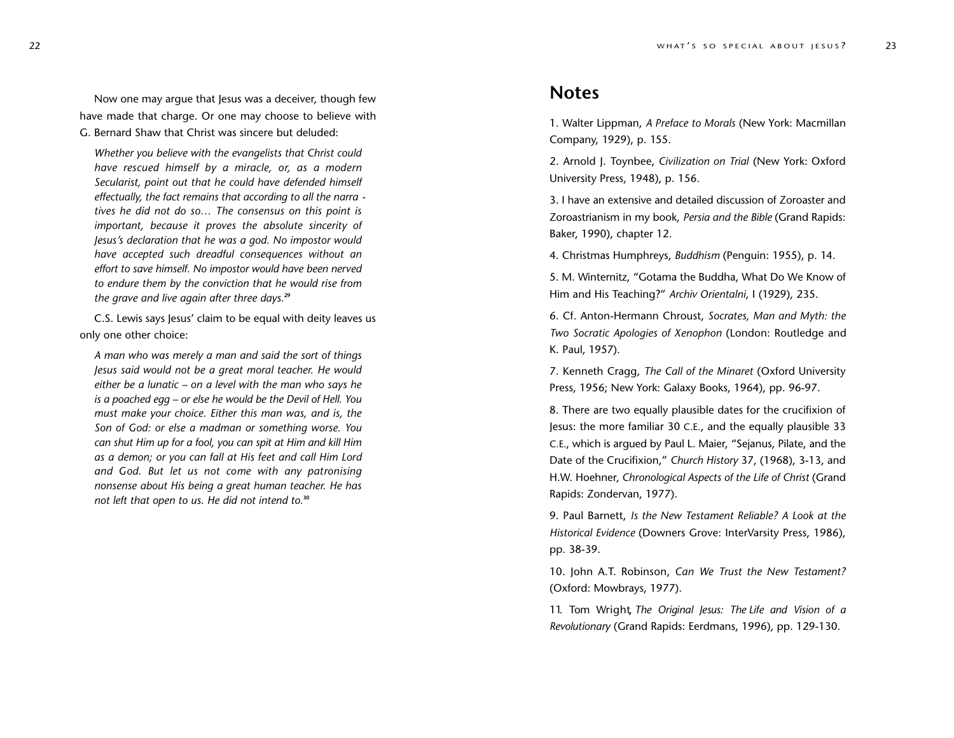Now one may argue that Jesus was a deceiver, though few have made that charge. Or one may choose to believe with G. Bernard Shaw that Christ was sincere but deluded:

*Whether you believe with the evangelists that Christ could have rescued himself by a miracle, or, as a modern Secularist, point out that he could have defended himself effectually, the fact remains that according to all the narra tives he did not do so… The consensus on this point is important, because it proves the absolute sincerity of Jesus's declaration that he was a god. No impostor would have accept ed such dreadful consequences without an effort to save himself. No impostor would have been nerved to endure them by the conviction that he would rise from the grave and live again after three days.***<sup>29</sup>**

C.S. Lewis says Jesus' claim to be equal with deity leaves us only one other choice:

*A man who was merely a man and said the sort of things Jesus said would not be a great moral teacher. He would either be a lunatic – on a level with the man who says he is a poached egg – or else he would be the Devil of Hell. You must make your choice. Either this man was, and is, the Son of God: or else a madman or something worse. You can shut Him up for a fool, you can spit at Him and kill Him as a demon; or you can fall at His feet and call Him Lor d* and God. But let us not come with any patronising *nonsense about His being a great human teacher. He has not left that open to us. He did not intend to.***<sup>30</sup>**

## **Notes**

1. Walter Lippman, *A Preface to Morals* (New York: Macmillan Company, 1929), p. 155.

2. Arnold J. Toynbee, *Civilization on Trial* (New York: Oxfor d University Press, 1948), p. 156.

3. I have an extensive and detailed discussion of Zoroaster and Zoroastrianism in my book, *Persia and the Bible* (Grand Rapids: Baker, 1990), chapter 12.

4. Christmas Humphreys, *Buddhism* (Penguin: 1955), p. 14.

5. M. Winternitz, "Gotama the Buddha, What Do We Know of Him and His Teaching?" *Archiv Orientalni*, I ( 1 929), 235.

6. Cf. Anton-Hermann Chroust, *Socrates, Man and Myth: the Two Socratic Apologies of Xenophon* (London: Routledge and K. Paul, 1957).

7. Kenneth Cragg, *The Call of the Minaret* (Oxford University Press, 1956; New York: Galaxy Books, 1964), pp. 96-97.

8. There are two equally plausible dates for the crucifixion of Jesus: the more familiar 30 C.E., and the equally plausible 33 C.E., which is argued by Paul L. Maier, "Sejanus, Pilate, and the Date of the Crucifixion," *Church History* 37, (1968), 3-13, and H.W. Hoehner, *Chronological Aspects of the Life of Christ* (Grand Rapids: Zondervan, 1977).

9. Paul Barnett, *Is the New Testament Reliable? A Look at the Historical Evidence* (Downers Grove: InterVarsity Press, 1986), pp. 38-39.

10. John A.T. Robinson, *Can We Trust the New Testament?* (Oxford: Mowbrays, 1977).

11. Tom Wright, The Original Jesus: The Life and Vision of a *R e v o l utionary* (Grand Rapids: Eerdmans, 1996), pp. 129-130.